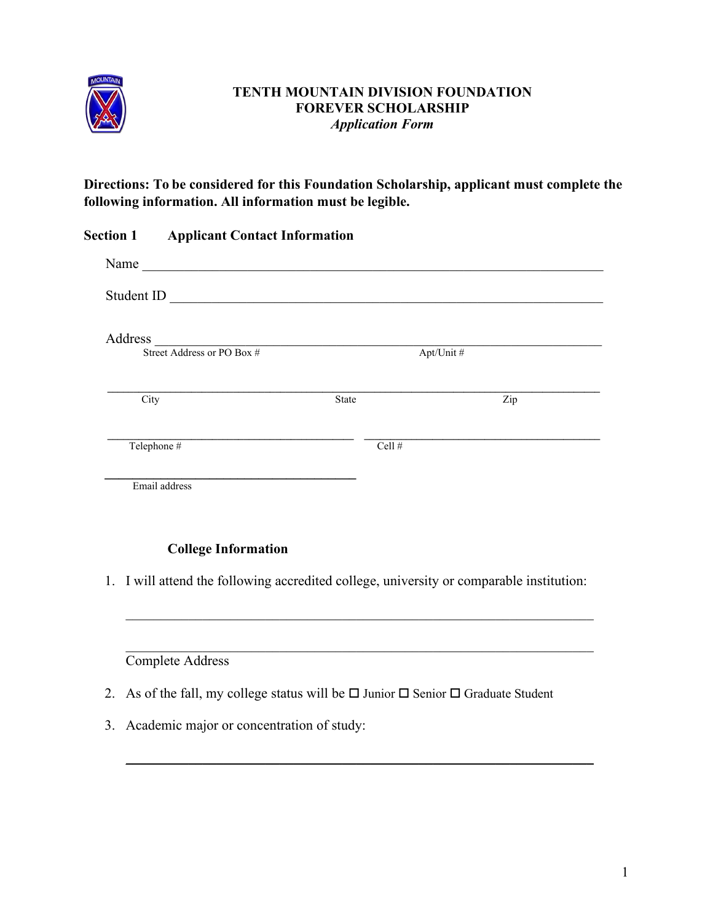

### **TENTH MOUNTAIN DIVISION FOUNDATION FOREVER SCHOLARSHIP** *Application Form*

**Directions: To be considered for this Foundation Scholarship, applicant must complete the following information. All information must be legible.** 

| <b>Section 1</b> | <b>Applicant Contact Information</b>              |              |           |
|------------------|---------------------------------------------------|--------------|-----------|
| Name             | <u> 1989 - Johann Barn, mars et al. (b. 1989)</u> |              |           |
| Student ID       |                                                   |              |           |
| Address          | Street Address or PO Box #                        |              | Apt/Unit# |
|                  |                                                   |              |           |
| City             |                                                   | <b>State</b> | Zip       |
|                  | Telephone #                                       | Cell #       |           |
|                  | Email address                                     |              |           |

# **College Information**

1. I will attend the following accredited college, university or comparable institution:

 $\mathcal{L}_\mathcal{L}$  , and the contribution of the contribution of the contribution of the contribution of the contribution of the contribution of the contribution of the contribution of the contribution of the contribution of

 $\mathcal{L}_\mathcal{L}$  , and the contribution of the contribution of the contribution of the contribution of the contribution of the contribution of the contribution of the contribution of the contribution of the contribution of

 $\frac{1}{2}$  ,  $\frac{1}{2}$  ,  $\frac{1}{2}$  ,  $\frac{1}{2}$  ,  $\frac{1}{2}$  ,  $\frac{1}{2}$  ,  $\frac{1}{2}$  ,  $\frac{1}{2}$  ,  $\frac{1}{2}$  ,  $\frac{1}{2}$  ,  $\frac{1}{2}$  ,  $\frac{1}{2}$  ,  $\frac{1}{2}$  ,  $\frac{1}{2}$  ,  $\frac{1}{2}$  ,  $\frac{1}{2}$  ,  $\frac{1}{2}$  ,  $\frac{1}{2}$  ,  $\frac{1$ 

## Complete Address

- 2. As of the fall, my college status will be  $\Box$  Junior  $\Box$  Senior  $\Box$  Graduate Student
- 3. Academic major or concentration of study: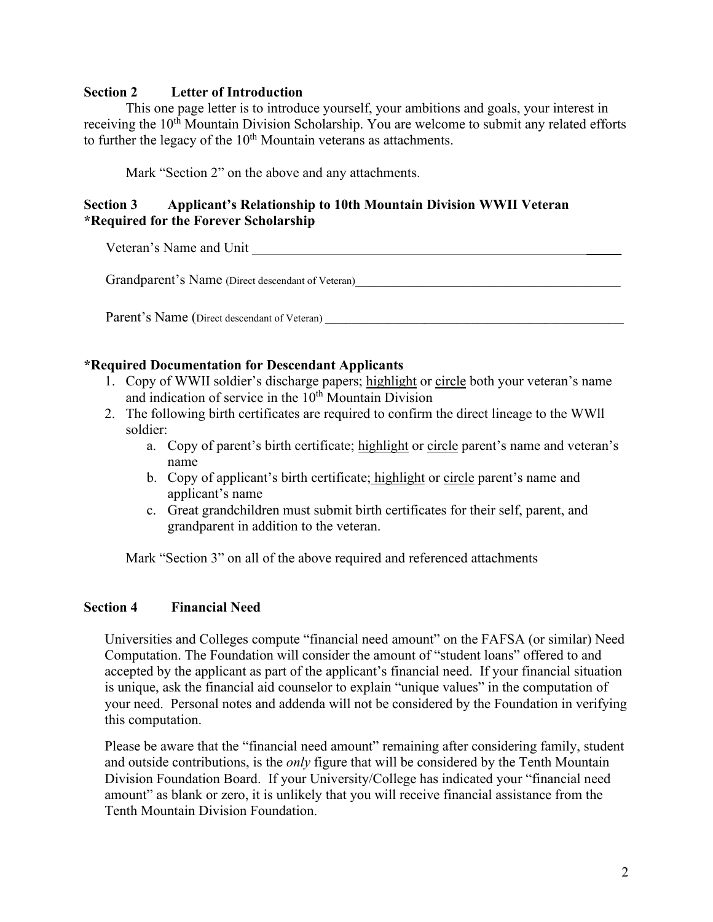#### **Section 2****Letter of Introduction**

This one page letter is to introduce yourself, your ambitions and goals, your interest in receiving the 10<sup>th</sup> Mountain Division Scholarship. You are welcome to submit any related efforts to further the legacy of the  $10<sup>th</sup>$  Mountain veterans as attachments.

Mark "Section 2" on the above and any attachments.

### **Section 3 Applicant's Relationship to 10th Mountain Division WWII Veteran \*Required for the Forever Scholarship**

Veteran's Name and Unit Theorem 2018

Grandparent's Name (Direct descendant of Veteran)

Parent's Name (Direct descendant of Veteran)

#### **\*Required Documentation for Descendant Applicants**

- 1. Copy of WWII soldier's discharge papers; highlight or circle both your veteran's name and indication of service in the  $10<sup>th</sup>$  Mountain Division
- 2. The following birth certificates are required to confirm the direct lineage to the WWll soldier:
	- a. Copy of parent's birth certificate; highlight or circle parent's name and veteran's name
	- b. Copy of applicant's birth certificate; highlight or circle parent's name and applicant's name
	- c. Great grandchildren must submit birth certificates for their self, parent, and grandparent in addition to the veteran.

Mark "Section 3" on all of the above required and referenced attachments

#### **Section 4 Financial Need**

Universities and Colleges compute "financial need amount" on the FAFSA (or similar) Need Computation. The Foundation will consider the amount of "student loans" offered to and accepted by the applicant as part of the applicant's financial need. If your financial situation is unique, ask the financial aid counselor to explain "unique values" in the computation of your need. Personal notes and addenda will not be considered by the Foundation in verifying this computation.

Please be aware that the "financial need amount" remaining after considering family, student and outside contributions, is the *only* figure that will be considered by the Tenth Mountain Division Foundation Board. If your University/College has indicated your "financial need amount" as blank or zero, it is unlikely that you will receive financial assistance from the Tenth Mountain Division Foundation.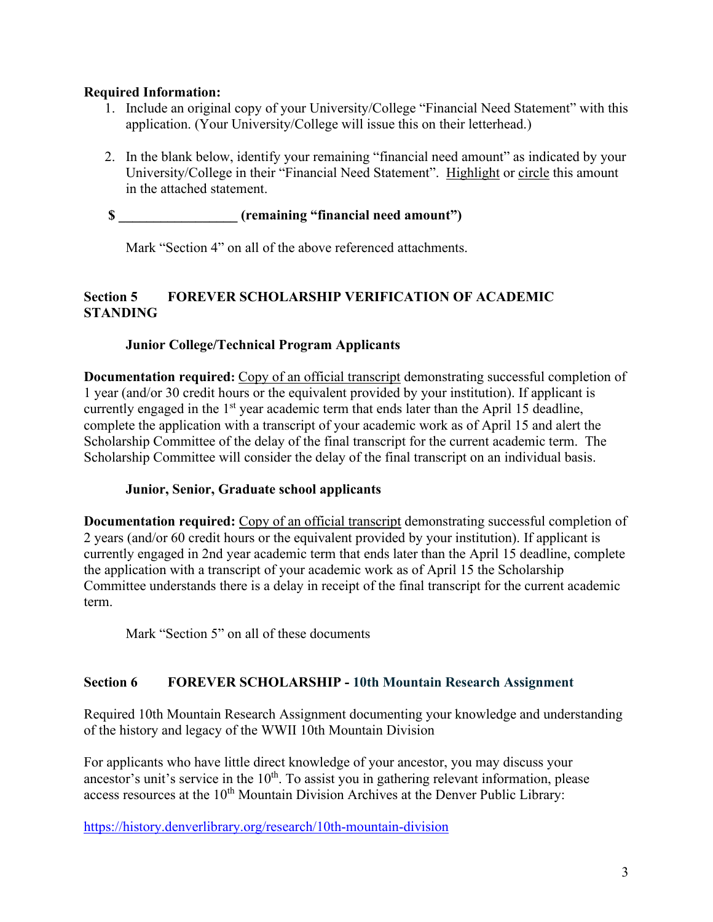### **Required Information:**

- 1. Include an original copy of your University/College "Financial Need Statement" with this application. (Your University/College will issue this on their letterhead.)
- 2. In the blank below, identify your remaining "financial need amount" as indicated by your University/College in their "Financial Need Statement". Highlight or circle this amount in the attached statement.

# **\$ \_\_\_\_\_\_\_\_\_\_\_\_\_\_\_\_\_ (remaining "financial need amount")**

Mark "Section 4" on all of the above referenced attachments.

## **Section 5 FOREVER SCHOLARSHIP VERIFICATION OF ACADEMIC STANDING**

# **Junior College/Technical Program Applicants**

**Documentation required:** Copy of an official transcript demonstrating successful completion of 1 year (and/or 30 credit hours or the equivalent provided by your institution). If applicant is currently engaged in the  $1<sup>st</sup>$  year academic term that ends later than the April 15 deadline, complete the application with a transcript of your academic work as of April 15 and alert the Scholarship Committee of the delay of the final transcript for the current academic term. The Scholarship Committee will consider the delay of the final transcript on an individual basis.

# **Junior, Senior, Graduate school applicants**

**Documentation required:** Copy of an official transcript demonstrating successful completion of 2 years (and/or 60 credit hours or the equivalent provided by your institution). If applicant is currently engaged in 2nd year academic term that ends later than the April 15 deadline, complete the application with a transcript of your academic work as of April 15 the Scholarship Committee understands there is a delay in receipt of the final transcript for the current academic term.

Mark "Section 5" on all of these documents

# **Section 6 FOREVER SCHOLARSHIP - 10th Mountain Research Assignment**

Required 10th Mountain Research Assignment documenting your knowledge and understanding of the history and legacy of the WWII 10th Mountain Division

For applicants who have little direct knowledge of your ancestor, you may discuss your ancestor's unit's service in the  $10<sup>th</sup>$ . To assist you in gathering relevant information, please access resources at the 10<sup>th</sup> Mountain Division Archives at the Denver Public Library:

<https://history.denverlibrary.org/research/10th-mountain-division>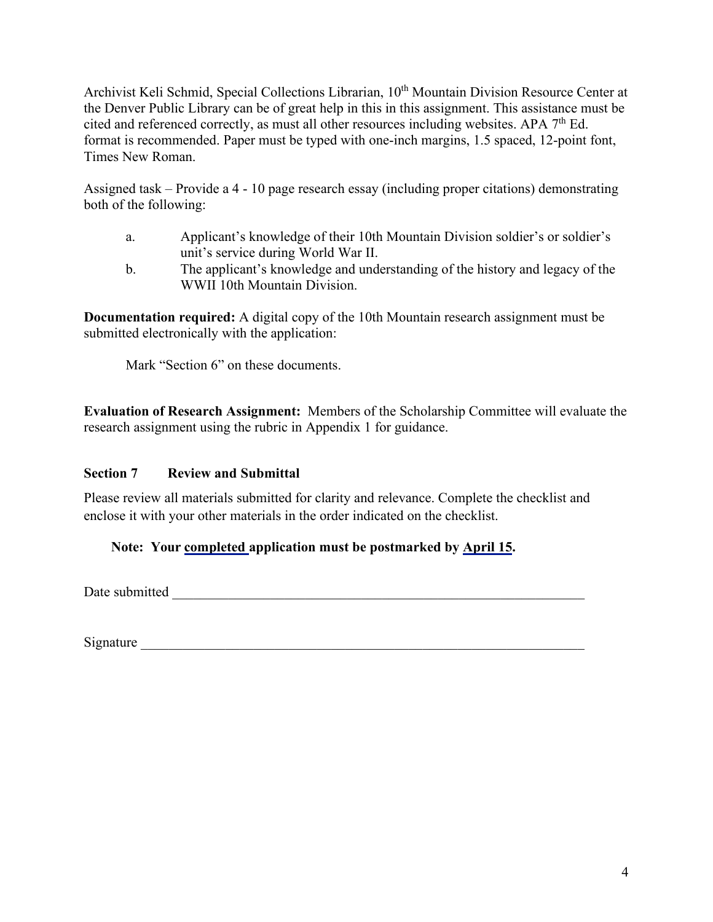Archivist Keli Schmid, Special Collections Librarian, 10<sup>th</sup> Mountain Division Resource Center at the Denver Public Library can be of great help in this in this assignment. This assistance must be cited and referenced correctly, as must all other resources including websites. APA  $7<sup>th</sup>$  Ed. format is recommended. Paper must be typed with one-inch margins, 1.5 spaced, 12-point font, Times New Roman.

Assigned task – Provide a 4 - 10 page research essay (including proper citations) demonstrating both of the following:

- a. Applicant's knowledge of their 10th Mountain Division soldier's or soldier's unit's service during World War II.
- b. The applicant's knowledge and understanding of the history and legacy of the WWII 10th Mountain Division.

**Documentation required:** A digital copy of the 10th Mountain research assignment must be submitted electronically with the application:

Mark "Section 6" on these documents.

**Evaluation of Research Assignment:** Members of the Scholarship Committee will evaluate the research assignment using the rubric in Appendix 1 for guidance.

# **Section 7 Review and Submittal**

Please review all materials submitted for clarity and relevance. Complete the checklist and enclose it with your other materials in the order indicated on the checklist.

# **Note: Your completed application must be postmarked by April 15.**

Date submitted \_\_\_\_\_\_\_\_\_\_\_\_\_\_\_\_\_\_\_\_\_\_\_\_\_\_\_\_\_\_\_\_\_\_\_\_\_\_\_\_\_\_\_\_\_\_\_\_\_\_\_\_\_\_\_\_\_\_\_

Signature  $\Box$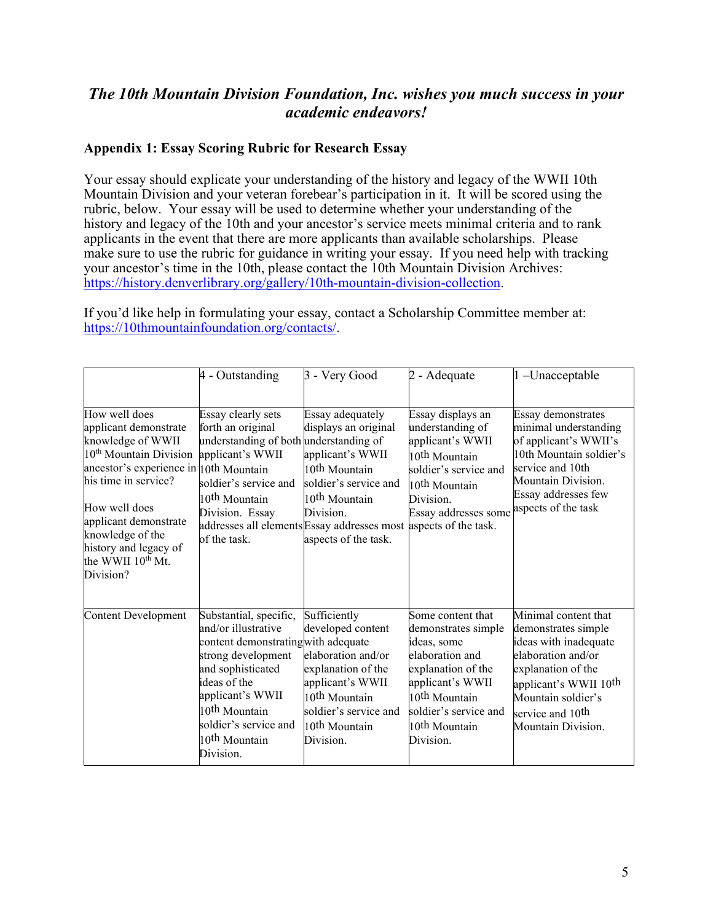# *The 10th Mountain Division Foundation, Inc. wishes you much success in your academic endeavors!*

#### **Appendix 1: Essay Scoring Rubric for Research Essay**

Your essay should explicate your understanding of the history and legacy of the WWII 10th Mountain Division and your veteran forebear's participation in it. It will be scored using the rubric, below. Your essay will be used to determine whether your understanding of the history and legacy of the 10th and your ancestor's service meets minimal criteria and to rank applicants in the event that there are more applicants than available scholarships. Please make sure to use the rubric for guidance in writing your essay. If you need help with tracking your ancestor's time in the 10th, please contact the 10th Mountain Division Archives: [https://history.denverlibrary.org/gallery/10th-mountain-division-collection.](https://history.denverlibrary.org/gallery/10th-mountain-division-collection)

If you'd like help in formulating your essay, contact a Scholarship Committee member at: [https://10thmountainfoundation.org/contacts/.](https://10thmountainfoundation.org/contacts/)

|                                                                                                                                                                                                                                                                                                              | 4 - Outstanding                                                                                                                                                                                                                                                     | 3 - Very Good                                                                                                                                                                                     | 2 - Adequate                                                                                                                                                                                                         | 1-Unacceptable                                                                                                                                                                                                                    |
|--------------------------------------------------------------------------------------------------------------------------------------------------------------------------------------------------------------------------------------------------------------------------------------------------------------|---------------------------------------------------------------------------------------------------------------------------------------------------------------------------------------------------------------------------------------------------------------------|---------------------------------------------------------------------------------------------------------------------------------------------------------------------------------------------------|----------------------------------------------------------------------------------------------------------------------------------------------------------------------------------------------------------------------|-----------------------------------------------------------------------------------------------------------------------------------------------------------------------------------------------------------------------------------|
| How well does<br>applicant demonstrate<br>knowledge of WWII<br>10 <sup>th</sup> Mountain Division<br>ancestor's experience in $ 10$ th Mountain<br>his time in service?<br>How well does<br>applicant demonstrate<br>knowledge of the<br>history and legacy of<br>the WWII 10 <sup>th</sup> Mt.<br>Division? | Essay clearly sets<br>forth an original<br>understanding of both understanding of<br>applicant's WWII<br>soldier's service and<br>10 <sup>th</sup> Mountain<br>Division. Essay<br>addresses all elements Essay addresses most aspects of the task.<br>of the task.  | Essay adequately<br>displays an original<br>applicant's WWII<br>10 <sup>th</sup> Mountain<br>soldier's service and<br>10 <sup>th</sup> Mountain<br>Division.<br>aspects of the task.              | Essay displays an<br>understanding of<br>applicant's WWII<br>10 <sup>th</sup> Mountain<br>soldier's service and<br>10th Mountain<br>Division.<br>Essay addresses some                                                | Essay demonstrates<br>minimal understanding<br>of applicant's WWII's<br>10th Mountain soldier's<br>service and 10th<br>Mountain Division.<br>Essay addresses few<br>aspects of the task                                           |
| <b>Content Development</b>                                                                                                                                                                                                                                                                                   | Substantial, specific,<br>and/or illustrative<br>content demonstrating with adequate<br>strong development<br>and sophisticated<br>ideas of the<br>applicant's WWII<br>10 <sup>th</sup> Mountain<br>soldier's service and<br>10 <sup>th</sup> Mountain<br>Division. | Sufficiently<br>developed content<br>elaboration and/or<br>explanation of the<br>applicant's WWII<br>10 <sup>th</sup> Mountain<br>soldier's service and<br>10 <sup>th</sup> Mountain<br>Division. | Some content that<br>demonstrates simple<br>ideas, some<br>elaboration and<br>explanation of the<br>applicant's WWII<br>10 <sup>th</sup> Mountain<br>soldier's service and<br>10 <sup>th</sup> Mountain<br>Division. | Minimal content that<br>demonstrates simple<br>ideas with inadequate<br>elaboration and/or<br>explanation of the<br>applicant's WWII 10 <sup>th</sup><br>Mountain soldier's<br>service and 10 <sup>th</sup><br>Mountain Division. |